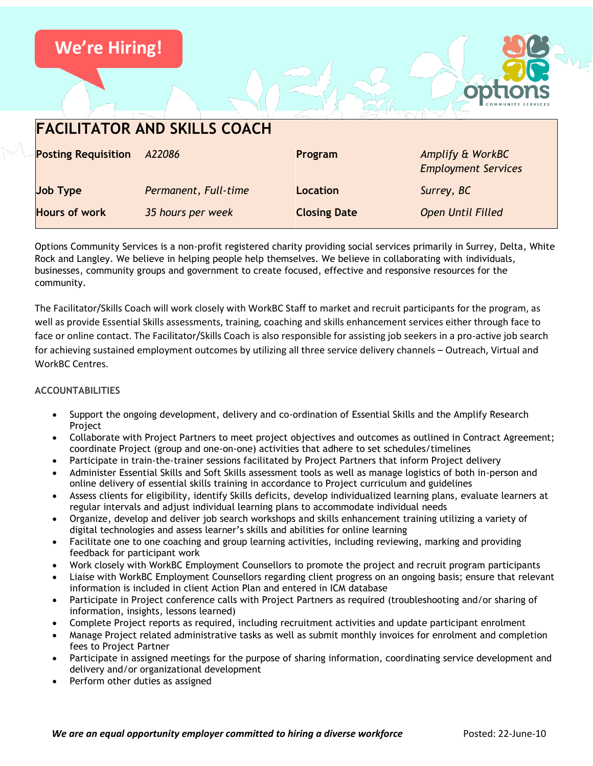

Options Community Services is a non-profit registered charity providing social services primarily in Surrey, Delta, White Rock and Langley. We believe in helping people help themselves. We believe in collaborating with individuals, businesses, community groups and government to create focused, effective and responsive resources for the community.

The Facilitator/Skills Coach will work closely with WorkBC Staff to market and recruit participants for the program, as well as provide Essential Skills assessments, training, coaching and skills enhancement services either through face to face or online contact. The Facilitator/Skills Coach is also responsible for assisting job seekers in a pro-active job search for achieving sustained employment outcomes by utilizing all three service delivery channels – Outreach, Virtual and WorkBC Centres.

# **ACCOUNTABILITIES**

- Support the ongoing development, delivery and co-ordination of Essential Skills and the Amplify Research Project
- Collaborate with Project Partners to meet project objectives and outcomes as outlined in Contract Agreement; coordinate Project (group and one-on-one) activities that adhere to set schedules/timelines
- Participate in train-the-trainer sessions facilitated by Project Partners that inform Project delivery
- Administer Essential Skills and Soft Skills assessment tools as well as manage logistics of both in-person and online delivery of essential skills training in accordance to Project curriculum and guidelines
- Assess clients for eligibility, identify Skills deficits, develop individualized learning plans, evaluate learners at regular intervals and adjust individual learning plans to accommodate individual needs
- Organize, develop and deliver job search workshops and skills enhancement training utilizing a variety of digital technologies and assess learner's skills and abilities for online learning
- Facilitate one to one coaching and group learning activities, including reviewing, marking and providing feedback for participant work
- Work closely with WorkBC Employment Counsellors to promote the project and recruit program participants
- Liaise with WorkBC Employment Counsellors regarding client progress on an ongoing basis; ensure that relevant information is included in client Action Plan and entered in ICM database
- Participate in Project conference calls with Project Partners as required (troubleshooting and/or sharing of information, insights, lessons learned)
- Complete Project reports as required, including recruitment activities and update participant enrolment
- Manage Project related administrative tasks as well as submit monthly invoices for enrolment and completion fees to Project Partner
- Participate in assigned meetings for the purpose of sharing information, coordinating service development and delivery and/or organizational development
- Perform other duties as assigned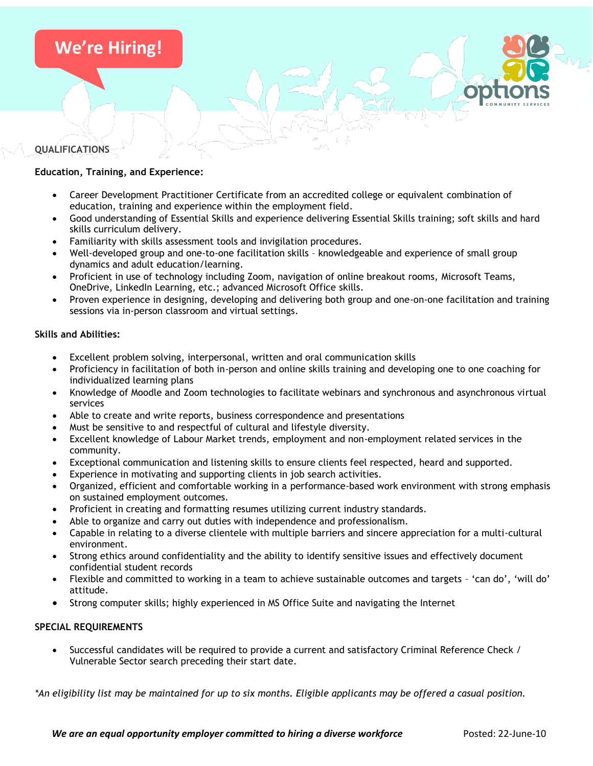

## **QUALIFICATIONS**

## **Education, Training, and Experience:**

- Career Development Practitioner Certificate from an accredited college or equivalent combination of education, training and experience within the employment field.
- Good understanding of Essential Skills and experience delivering Essential Skills training; soft skills and hard skills curriculum delivery.
- Familiarity with skills assessment tools and invigilation procedures.
- Well-developed group and one-to-one facilitation skills knowledgeable and experience of small group dynamics and adult education/learning.
- Proficient in use of technology including Zoom, navigation of online breakout rooms, Microsoft Teams, OneDrive, LinkedIn Learning, etc.; advanced Microsoft Office skills.
- Proven experience in designing, developing and delivering both group and one-on-one facilitation and training sessions via in-person classroom and virtual settings.

### **Skills and Abilities:**

- Excellent problem solving, interpersonal, written and oral communication skills
- Proficiency in facilitation of both in-person and online skills training and developing one to one coaching for individualized learning plans
- Knowledge of Moodle and Zoom technologies to facilitate webinars and synchronous and asynchronous virtual services
- Able to create and write reports, business correspondence and presentations
- Must be sensitive to and respectful of cultural and lifestyle diversity.
- Excellent knowledge of Labour Market trends, employment and non-employment related services in the community.
- Exceptional communication and listening skills to ensure clients feel respected, heard and supported.
- Experience in motivating and supporting clients in job search activities.
- Organized, efficient and comfortable working in a performance-based work environment with strong emphasis on sustained employment outcomes.
- Proficient in creating and formatting resumes utilizing current industry standards.
- Able to organize and carry out duties with independence and professionalism.
- Capable in relating to a diverse clientele with multiple barriers and sincere appreciation for a multi-cultural environment.
- Strong ethics around confidentiality and the ability to identify sensitive issues and effectively document confidential student records
- Flexible and committed to working in a team to achieve sustainable outcomes and targets 'can do', 'will do' attitude.
- Strong computer skills; highly experienced in MS Office Suite and navigating the Internet

### **SPECIAL REQUIREMENTS**

• Successful candidates will be required to provide a current and satisfactory Criminal Reference Check / Vulnerable Sector search preceding their start date.

*\*An eligibility list may be maintained for up to six months. Eligible applicants may be offered a casual position.*